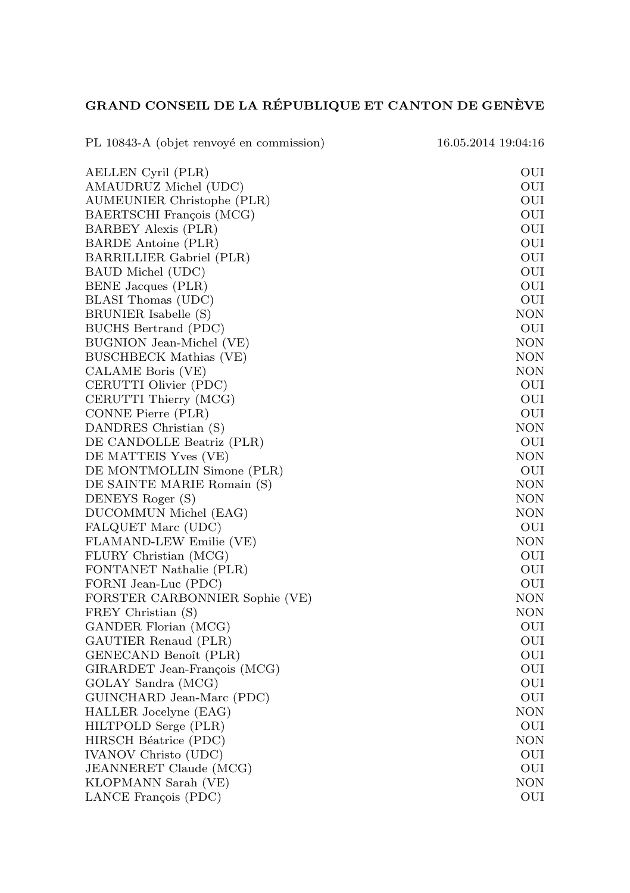## GRAND CONSEIL DE LA RÉPUBLIQUE ET CANTON DE GENÈVE

PL 10843-A (objet renvoyé en commission) 16.05.2014 19:04:16 AELLEN Cyril (PLR) OUI AMAUDRUZ Michel (UDC) OUI AUMEUNIER Christophe (PLR) OUI BAERTSCHI Francois (MCG) OUI BARBEY Alexis (PLR) OUI BARDE Antoine (PLR) OUI BARRILLIER Gabriel (PLR) OUI DOUI BARRILLIER Gabriel (PLR) BAUD Michel (UDC) OUI BENE Jacques (PLR) OUI BLASI Thomas (UDC) OUI BRUNIER Isabelle (S) NON BUCHS Bertrand (PDC) OUI BUGNION Jean-Michel (VE) NON BUSCHBECK Mathias (VE) NON CALAME Boris (VE) NON CERUTTI Olivier (PDC) OUI OUI CERUTTI Thierry (MCG) OUI CERUTTI Thierry (MCG) CONNE Pierre (PLR) OUI DANDRES Christian (S) NON DE CANDOLLE Beatriz (PLR) OUI DE MATTEIS Yves (VE) NON DE MONTMOLLIN Simone (PLR) OUI<br>
DE SAINTE MARIE Romain (S) NON DE SAINTE MARIE Romain (S) DENEYS Roger (S) NON DUCOMMUN Michel (EAG) NON FALQUET Marc (UDC) OUI FLAMAND-LEW Emilie (VE) NON FLURY Christian (MCG) OUI FONTANET Nathalie (PLR) OUI FORNI Jean-Luc (PDC) OUI FORSTER CARBONNIER Sophie (VE) NON FREY Christian (S) NON GANDER Florian (MCG) OUI GAUTIER Renaud (PLR) OUI GENECAND Benoît (PLR) OUI<br>GIRARDET Jean-François (MCG) OUI GIRARDET Jean-François (MCG) GOLAY Sandra (MCG) OUI GUINCHARD Jean-Marc (PDC) OUI HALLER Jocelyne (EAG) NON HILTPOLD Serge (PLR) OUI HIRSCH Béatrice (PDC) NON IVANOV Christo (UDC) OUI JEANNERET Claude (MCG) OUI KLOPMANN Sarah (VE) NON LANCE François (PDC) OUI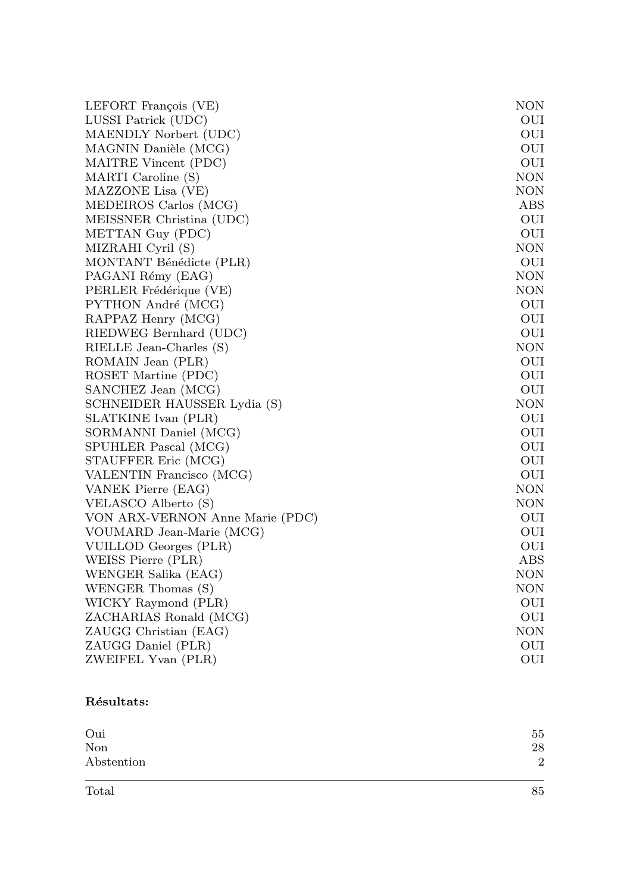| LEFORT François (VE)            | <b>NON</b> |
|---------------------------------|------------|
| LUSSI Patrick (UDC)             | OUI        |
| MAENDLY Norbert (UDC)           | OUI        |
| MAGNIN Danièle (MCG)            | OUI        |
| MAITRE Vincent (PDC)            | OUI        |
| MARTI Caroline (S)              | <b>NON</b> |
| MAZZONE Lisa (VE)               | <b>NON</b> |
| MEDEIROS Carlos (MCG)           | ABS        |
| MEISSNER Christina (UDC)        | OUI        |
| METTAN Guy (PDC)                | OUI        |
| MIZRAHI Cyril (S)               | <b>NON</b> |
| MONTANT Bénédicte (PLR)         | OUI        |
| PAGANI Rémy (EAG)               | NON        |
| PERLER Frédérique (VE)          | <b>NON</b> |
| PYTHON André (MCG)              | OUI        |
| RAPPAZ Henry (MCG)              | OUI        |
| RIEDWEG Bernhard (UDC)          | OUI        |
| RIELLE Jean-Charles (S)         | <b>NON</b> |
| ROMAIN Jean (PLR)               | OUI        |
| ROSET Martine (PDC)             | OUI        |
| SANCHEZ Jean (MCG)              | OUI        |
| SCHNEIDER HAUSSER Lydia (S)     | <b>NON</b> |
| SLATKINE Ivan (PLR)             | OUI        |
| SORMANNI Daniel (MCG)           | OUI        |
| SPUHLER Pascal (MCG)            | OUI        |
| STAUFFER Eric (MCG)             | OUI        |
| VALENTIN Francisco (MCG)        | OUI        |
| VANEK Pierre (EAG)              | <b>NON</b> |
| VELASCO Alberto (S)             | <b>NON</b> |
| VON ARX-VERNON Anne Marie (PDC) | OUI        |
| VOUMARD Jean-Marie (MCG)        | OUI        |
| VUILLOD Georges (PLR)           | OUI        |
| WEISS Pierre (PLR)              | ABS        |
| WENGER Salika (EAG)             | <b>NON</b> |
| WENGER Thomas (S)               | <b>NON</b> |
| WICKY Raymond (PLR)             | OUI        |
| ZACHARIAS Ronald (MCG)          | OUI        |
| ZAUGG Christian (EAG)           | <b>NON</b> |
| ZAUGG Daniel (PLR)              | OUI        |
| ZWEIFEL Yvan (PLR)              | OUI        |

## Résultats:

| Oui        | 55             |
|------------|----------------|
| Non        | 28             |
| Abstention | $\overline{2}$ |